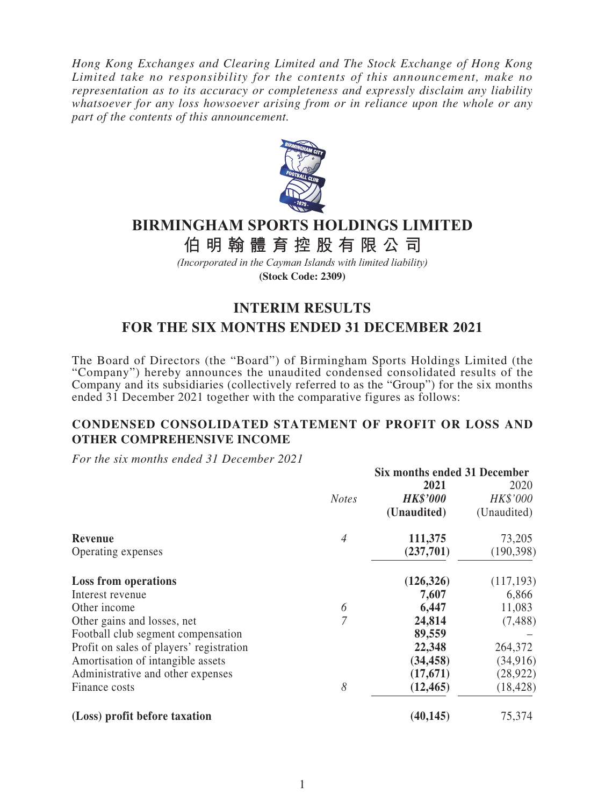*Hong Kong Exchanges and Clearing Limited and The Stock Exchange of Hong Kong Limited take no responsibility for the contents of this announcement, make no representation as to its accuracy or completeness and expressly disclaim any liability whatsoever for any loss howsoever arising from or in reliance upon the whole or any part of the contents of this announcement.*



# **BIRMINGHAM SPORTS HOLDINGS LIMITED**

**伯明翰體育控股有限公 司**

*(Incorporated in the Cayman Islands with limited liability)* **(Stock Code: 2309)**

# **INTERIM RESULTS FOR THE SIX MONTHS ENDED 31 DECEMBER 2021**

The Board of Directors (the "Board") of Birmingham Sports Holdings Limited (the "Company") hereby announces the unaudited condensed consolidated results of the Company and its subsidiaries (collectively referred to as the "Group") for the six months ended 31 December 2021 together with the comparative figures as follows:

## **CONDENSED CONSOLIDATED STATEMENT OF PROFIT OR LOSS AND OTHER COMPREHENSIVE INCOME**

*For the six months ended 31 December 2021*

|                                          |                |                 | Six months ended 31 December |  |  |
|------------------------------------------|----------------|-----------------|------------------------------|--|--|
|                                          |                | 2021            | 2020                         |  |  |
|                                          | <b>Notes</b>   | <b>HK\$'000</b> | HK\$'000                     |  |  |
|                                          |                | (Unaudited)     | (Unaudited)                  |  |  |
| Revenue                                  | $\overline{4}$ | 111,375         | 73,205                       |  |  |
| Operating expenses                       |                | (237,701)       | (190, 398)                   |  |  |
| <b>Loss from operations</b>              |                | (126, 326)      | (117, 193)                   |  |  |
| Interest revenue                         |                | 7,607           | 6,866                        |  |  |
| Other income                             | 6              | 6,447           | 11,083                       |  |  |
| Other gains and losses, net              | 7              | 24,814          | (7,488)                      |  |  |
| Football club segment compensation       |                | 89,559          |                              |  |  |
| Profit on sales of players' registration |                | 22,348          | 264,372                      |  |  |
| Amortisation of intangible assets        |                | (34, 458)       | (34, 916)                    |  |  |
| Administrative and other expenses        |                | (17,671)        | (28, 922)                    |  |  |
| Finance costs                            | 8              | (12, 465)       | (18, 428)                    |  |  |
| (Loss) profit before taxation            |                | (40, 145)       | 75,374                       |  |  |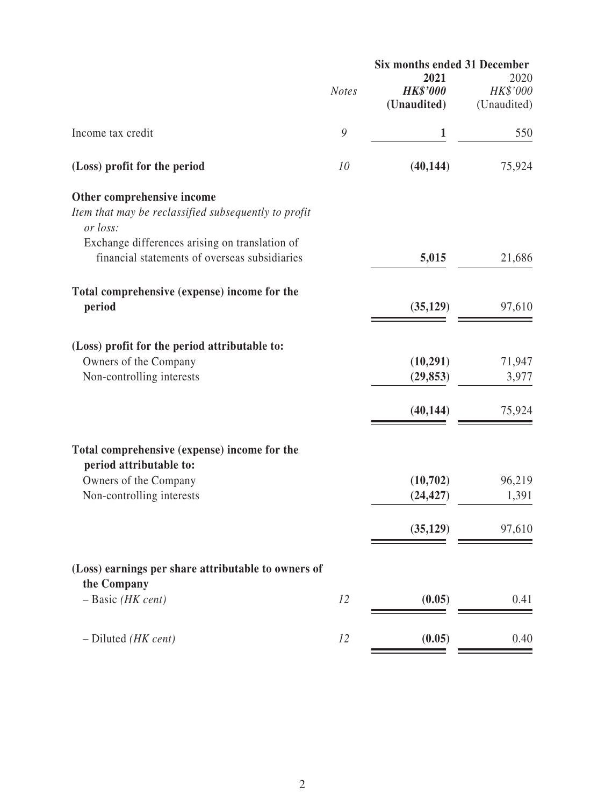|                                                                    | Six months ended 31 December |                 |             |  |
|--------------------------------------------------------------------|------------------------------|-----------------|-------------|--|
|                                                                    |                              | 2021            | 2020        |  |
|                                                                    | <b>Notes</b>                 | <b>HK\$'000</b> | HK\$'000    |  |
|                                                                    |                              | (Unaudited)     | (Unaudited) |  |
| Income tax credit                                                  | 9                            | 1               | 550         |  |
| (Loss) profit for the period                                       | 10                           | (40, 144)       | 75,924      |  |
| Other comprehensive income                                         |                              |                 |             |  |
| Item that may be reclassified subsequently to profit<br>or loss:   |                              |                 |             |  |
| Exchange differences arising on translation of                     |                              |                 |             |  |
| financial statements of overseas subsidiaries                      |                              | 5,015           | 21,686      |  |
| Total comprehensive (expense) income for the                       |                              |                 |             |  |
| period                                                             |                              | (35, 129)       | 97,610      |  |
|                                                                    |                              |                 |             |  |
| (Loss) profit for the period attributable to:                      |                              |                 |             |  |
| Owners of the Company                                              |                              | (10, 291)       | 71,947      |  |
| Non-controlling interests                                          |                              | (29, 853)       | 3,977       |  |
|                                                                    |                              | (40, 144)       | 75,924      |  |
|                                                                    |                              |                 |             |  |
| Total comprehensive (expense) income for the                       |                              |                 |             |  |
| period attributable to:                                            |                              |                 |             |  |
| Owners of the Company                                              |                              | (10,702)        | 96,219      |  |
| Non-controlling interests                                          |                              | (24, 427)       | 1,391       |  |
|                                                                    |                              | (35, 129)       | 97,610      |  |
|                                                                    |                              |                 |             |  |
| (Loss) earnings per share attributable to owners of<br>the Company |                              |                 |             |  |
| $-$ Basic (HK cent)                                                | 12                           | (0.05)          | 0.41        |  |
|                                                                    |                              |                 |             |  |
| $-$ Diluted (HK cent)                                              | 12                           | (0.05)          | 0.40        |  |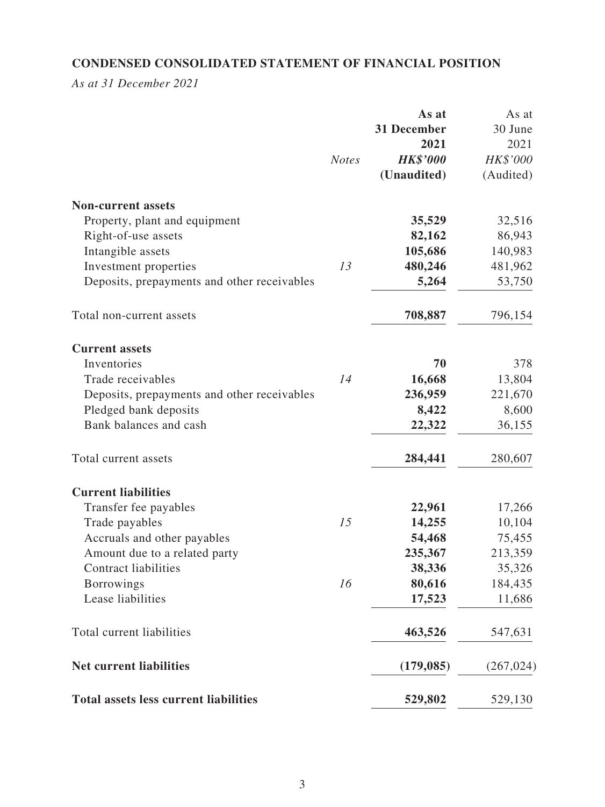## **CONDENSED CONSOLIDATED STATEMENT OF FINANCIAL POSITION**

*As at 31 December 2021*

|                                              | <b>Notes</b> | As at<br>31 December<br>2021<br><b>HK\$'000</b><br>(Unaudited) | As at<br>30 June<br>2021<br>HK\$'000<br>(Audited) |
|----------------------------------------------|--------------|----------------------------------------------------------------|---------------------------------------------------|
| <b>Non-current assets</b>                    |              |                                                                |                                                   |
| Property, plant and equipment                |              | 35,529                                                         | 32,516                                            |
| Right-of-use assets                          |              | 82,162                                                         | 86,943                                            |
| Intangible assets                            |              | 105,686                                                        | 140,983                                           |
| Investment properties                        | 13           | 480,246                                                        | 481,962                                           |
| Deposits, prepayments and other receivables  |              | 5,264                                                          | 53,750                                            |
| Total non-current assets                     |              | 708,887                                                        | 796,154                                           |
| <b>Current assets</b>                        |              |                                                                |                                                   |
| Inventories                                  |              | 70                                                             | 378                                               |
| Trade receivables                            | 14           | 16,668                                                         | 13,804                                            |
| Deposits, prepayments and other receivables  |              | 236,959                                                        | 221,670                                           |
| Pledged bank deposits                        |              | 8,422                                                          | 8,600                                             |
| Bank balances and cash                       |              | 22,322                                                         | 36,155                                            |
| Total current assets                         |              | 284,441                                                        | 280,607                                           |
| <b>Current liabilities</b>                   |              |                                                                |                                                   |
| Transfer fee payables                        |              | 22,961                                                         | 17,266                                            |
| Trade payables                               | 15           | 14,255                                                         | 10,104                                            |
| Accruals and other payables                  |              | 54,468                                                         | 75,455                                            |
| Amount due to a related party                |              | 235,367                                                        | 213,359                                           |
| <b>Contract liabilities</b>                  |              | 38,336                                                         | 35,326                                            |
| <b>Borrowings</b>                            | 16           | 80,616                                                         | 184,435                                           |
| Lease liabilities                            |              | 17,523                                                         | 11,686                                            |
| Total current liabilities                    |              | 463,526                                                        | 547,631                                           |
| <b>Net current liabilities</b>               |              | (179, 085)                                                     | (267, 024)                                        |
| <b>Total assets less current liabilities</b> |              | 529,802                                                        | 529,130                                           |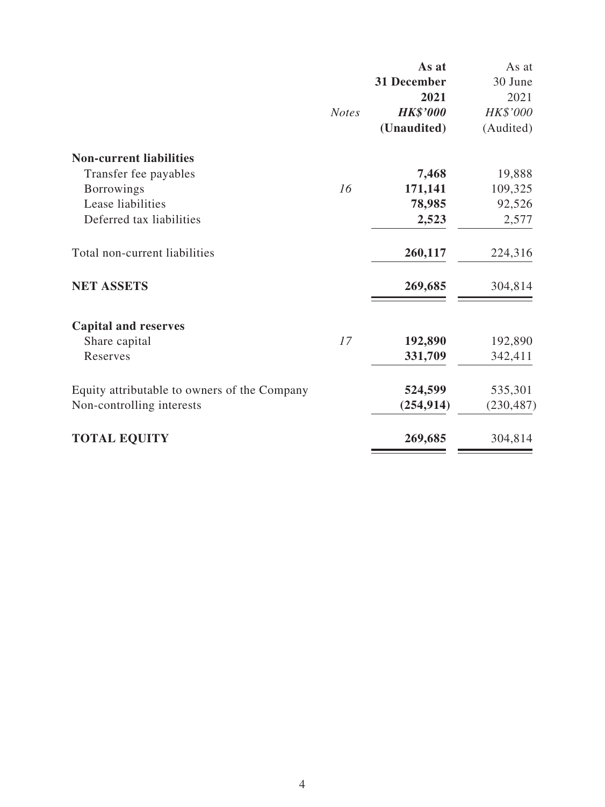|                                              |              | As at              | As at      |
|----------------------------------------------|--------------|--------------------|------------|
|                                              |              | <b>31 December</b> | 30 June    |
|                                              |              | 2021               | 2021       |
|                                              | <b>Notes</b> | <b>HK\$'000</b>    | HK\$'000   |
|                                              |              | (Unaudited)        | (Audited)  |
| <b>Non-current liabilities</b>               |              |                    |            |
| Transfer fee payables                        |              | 7,468              | 19,888     |
| <b>Borrowings</b>                            | 16           | 171,141            | 109,325    |
| Lease liabilities                            |              | 78,985             | 92,526     |
| Deferred tax liabilities                     |              | 2,523              | 2,577      |
| Total non-current liabilities                |              | 260,117            | 224,316    |
| <b>NET ASSETS</b>                            |              | 269,685            | 304,814    |
| <b>Capital and reserves</b>                  |              |                    |            |
| Share capital                                | 17           | 192,890            | 192,890    |
| Reserves                                     |              | 331,709            | 342,411    |
| Equity attributable to owners of the Company |              | 524,599            | 535,301    |
| Non-controlling interests                    |              | (254, 914)         | (230, 487) |
| <b>TOTAL EQUITY</b>                          |              | 269,685            | 304,814    |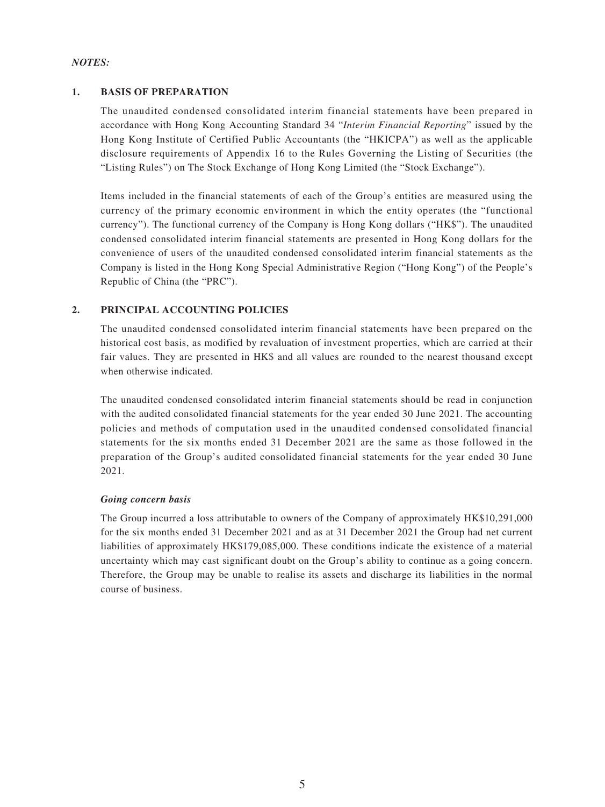### *NOTES:*

### **1. BASIS OF PREPARATION**

The unaudited condensed consolidated interim financial statements have been prepared in accordance with Hong Kong Accounting Standard 34 "*Interim Financial Reporting*" issued by the Hong Kong Institute of Certified Public Accountants (the "HKICPA") as well as the applicable disclosure requirements of Appendix 16 to the Rules Governing the Listing of Securities (the "Listing Rules") on The Stock Exchange of Hong Kong Limited (the "Stock Exchange").

Items included in the financial statements of each of the Group's entities are measured using the currency of the primary economic environment in which the entity operates (the "functional currency"). The functional currency of the Company is Hong Kong dollars ("HK\$"). The unaudited condensed consolidated interim financial statements are presented in Hong Kong dollars for the convenience of users of the unaudited condensed consolidated interim financial statements as the Company is listed in the Hong Kong Special Administrative Region ("Hong Kong") of the People's Republic of China (the "PRC").

### **2. PRINCIPAL ACCOUNTING POLICIES**

The unaudited condensed consolidated interim financial statements have been prepared on the historical cost basis, as modified by revaluation of investment properties, which are carried at their fair values. They are presented in HK\$ and all values are rounded to the nearest thousand except when otherwise indicated.

The unaudited condensed consolidated interim financial statements should be read in conjunction with the audited consolidated financial statements for the year ended 30 June 2021. The accounting policies and methods of computation used in the unaudited condensed consolidated financial statements for the six months ended 31 December 2021 are the same as those followed in the preparation of the Group's audited consolidated financial statements for the year ended 30 June 2021.

### *Going concern basis*

The Group incurred a loss attributable to owners of the Company of approximately HK\$10,291,000 for the six months ended 31 December 2021 and as at 31 December 2021 the Group had net current liabilities of approximately HK\$179,085,000. These conditions indicate the existence of a material uncertainty which may cast significant doubt on the Group's ability to continue as a going concern. Therefore, the Group may be unable to realise its assets and discharge its liabilities in the normal course of business.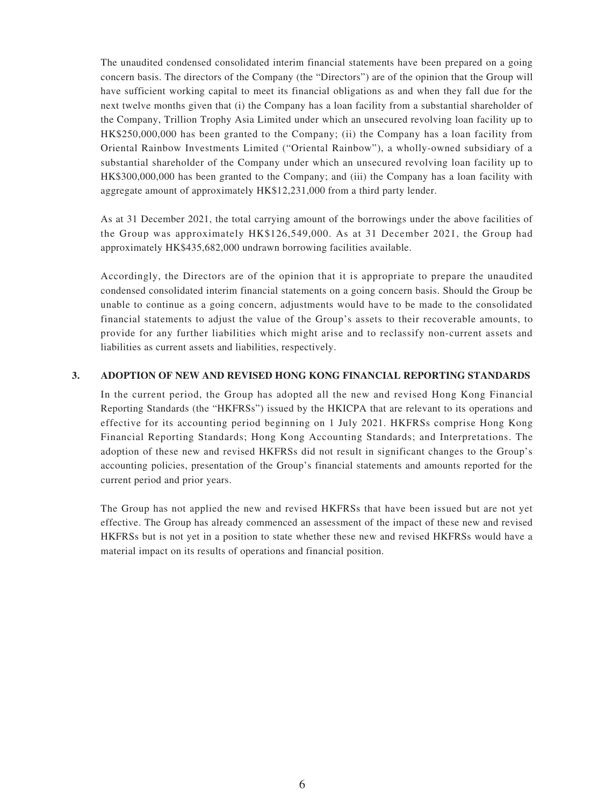The unaudited condensed consolidated interim financial statements have been prepared on a going concern basis. The directors of the Company (the "Directors") are of the opinion that the Group will have sufficient working capital to meet its financial obligations as and when they fall due for the next twelve months given that (i) the Company has a loan facility from a substantial shareholder of the Company, Trillion Trophy Asia Limited under which an unsecured revolving loan facility up to HK\$250,000,000 has been granted to the Company; (ii) the Company has a loan facility from Oriental Rainbow Investments Limited ("Oriental Rainbow"), a wholly-owned subsidiary of a substantial shareholder of the Company under which an unsecured revolving loan facility up to HK\$300,000,000 has been granted to the Company; and (iii) the Company has a loan facility with aggregate amount of approximately HK\$12,231,000 from a third party lender.

As at 31 December 2021, the total carrying amount of the borrowings under the above facilities of the Group was approximately HK\$126,549,000. As at 31 December 2021, the Group had approximately HK\$435,682,000 undrawn borrowing facilities available.

Accordingly, the Directors are of the opinion that it is appropriate to prepare the unaudited condensed consolidated interim financial statements on a going concern basis. Should the Group be unable to continue as a going concern, adjustments would have to be made to the consolidated financial statements to adjust the value of the Group's assets to their recoverable amounts, to provide for any further liabilities which might arise and to reclassify non-current assets and liabilities as current assets and liabilities, respectively.

### **3. ADOPTION OF NEW AND REVISED HONG KONG FINANCIAL REPORTING STANDARDS**

In the current period, the Group has adopted all the new and revised Hong Kong Financial Reporting Standards (the "HKFRSs") issued by the HKICPA that are relevant to its operations and effective for its accounting period beginning on 1 July 2021. HKFRSs comprise Hong Kong Financial Reporting Standards; Hong Kong Accounting Standards; and Interpretations. The adoption of these new and revised HKFRSs did not result in significant changes to the Group's accounting policies, presentation of the Group's financial statements and amounts reported for the current period and prior years.

The Group has not applied the new and revised HKFRSs that have been issued but are not yet effective. The Group has already commenced an assessment of the impact of these new and revised HKFRSs but is not yet in a position to state whether these new and revised HKFRSs would have a material impact on its results of operations and financial position.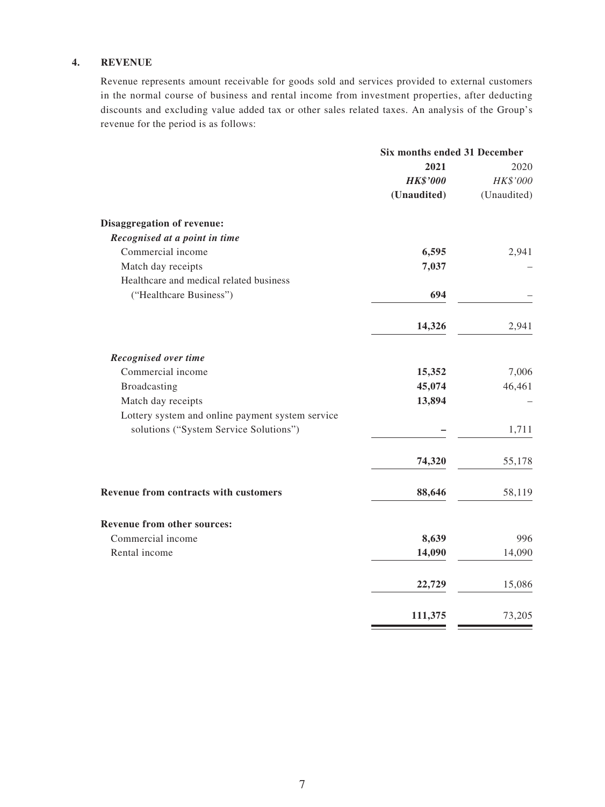### **4. REVENUE**

Revenue represents amount receivable for goods sold and services provided to external customers in the normal course of business and rental income from investment properties, after deducting discounts and excluding value added tax or other sales related taxes. An analysis of the Group's revenue for the period is as follows:

|                                                  | Six months ended 31 December |             |  |
|--------------------------------------------------|------------------------------|-------------|--|
|                                                  | 2021                         | 2020        |  |
|                                                  | <b>HK\$'000</b>              | HK\$'000    |  |
|                                                  | (Unaudited)                  | (Unaudited) |  |
| <b>Disaggregation of revenue:</b>                |                              |             |  |
| Recognised at a point in time                    |                              |             |  |
| Commercial income                                | 6,595                        | 2,941       |  |
| Match day receipts                               | 7,037                        |             |  |
| Healthcare and medical related business          |                              |             |  |
| ("Healthcare Business")                          | 694                          |             |  |
|                                                  | 14,326                       | 2,941       |  |
| Recognised over time                             |                              |             |  |
| Commercial income                                | 15,352                       | 7,006       |  |
| Broadcasting                                     | 45,074                       | 46,461      |  |
| Match day receipts                               | 13,894                       |             |  |
| Lottery system and online payment system service |                              |             |  |
| solutions ("System Service Solutions")           |                              | 1,711       |  |
|                                                  | 74,320                       | 55,178      |  |
| Revenue from contracts with customers            | 88,646                       | 58,119      |  |
| Revenue from other sources:                      |                              |             |  |
| Commercial income                                | 8,639                        | 996         |  |
| Rental income                                    | 14,090                       | 14,090      |  |
|                                                  | 22,729                       | 15,086      |  |
|                                                  | 111,375                      | 73,205      |  |

Ξ  $\equiv$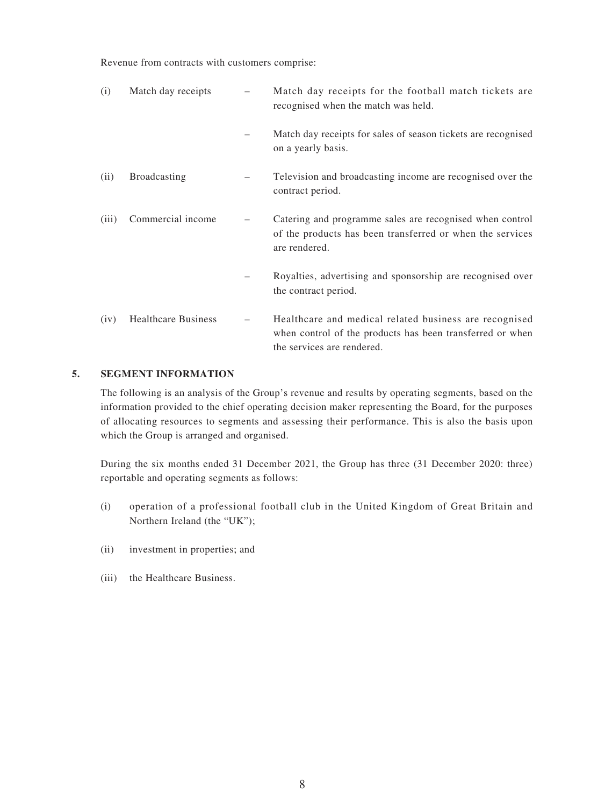Revenue from contracts with customers comprise:

| (i)   | Match day receipts         | Match day receipts for the football match tickets are<br>recognised when the match was held.                                                      |
|-------|----------------------------|---------------------------------------------------------------------------------------------------------------------------------------------------|
|       |                            | Match day receipts for sales of season tickets are recognised<br>on a yearly basis.                                                               |
| (ii)  | <b>Broadcasting</b>        | Television and broadcasting income are recognised over the<br>contract period.                                                                    |
| (iii) | Commercial income          | Catering and programme sales are recognised when control<br>of the products has been transferred or when the services<br>are rendered.            |
|       |                            | Royalties, advertising and sponsorship are recognised over<br>the contract period.                                                                |
| (iv)  | <b>Healthcare Business</b> | Healthcare and medical related business are recognised<br>when control of the products has been transferred or when<br>the services are rendered. |

### **5. SEGMENT INFORMATION**

The following is an analysis of the Group's revenue and results by operating segments, based on the information provided to the chief operating decision maker representing the Board, for the purposes of allocating resources to segments and assessing their performance. This is also the basis upon which the Group is arranged and organised.

During the six months ended 31 December 2021, the Group has three (31 December 2020: three) reportable and operating segments as follows:

- (i) operation of a professional football club in the United Kingdom of Great Britain and Northern Ireland (the "UK");
- (ii) investment in properties; and
- (iii) the Healthcare Business.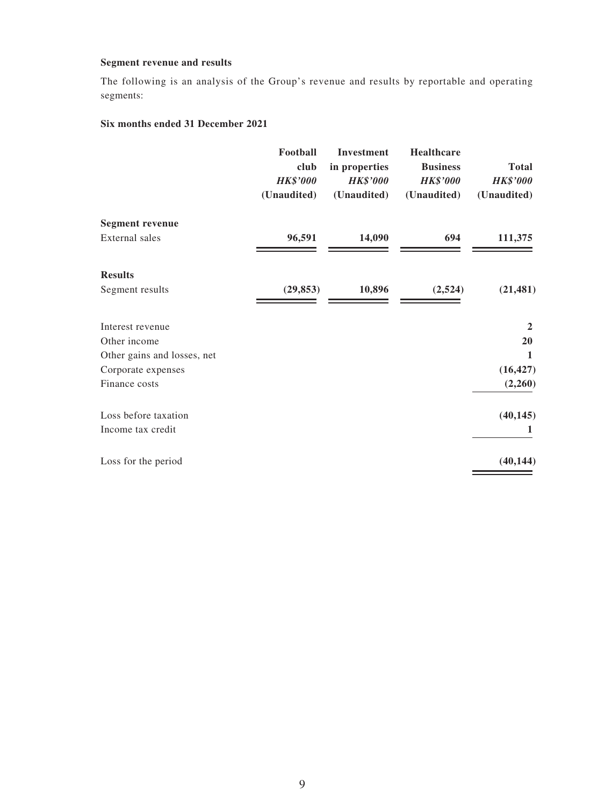### **Segment revenue and results**

The following is an analysis of the Group's revenue and results by reportable and operating segments:

### **Six months ended 31 December 2021**

|                             | Football<br>club<br><b>HK\$'000</b><br>(Unaudited) | <b>Investment</b><br>in properties<br><b>HK\$'000</b><br>(Unaudited) | <b>Healthcare</b><br><b>Business</b><br><b>HK\$'000</b><br>(Unaudited) | <b>Total</b><br><b>HK\$'000</b><br>(Unaudited) |
|-----------------------------|----------------------------------------------------|----------------------------------------------------------------------|------------------------------------------------------------------------|------------------------------------------------|
| <b>Segment revenue</b>      |                                                    |                                                                      |                                                                        |                                                |
| External sales              | 96,591                                             | 14,090                                                               | 694                                                                    | 111,375                                        |
| <b>Results</b>              |                                                    |                                                                      |                                                                        |                                                |
| Segment results             | (29, 853)                                          | 10,896                                                               | (2,524)                                                                | (21, 481)                                      |
| Interest revenue            |                                                    |                                                                      |                                                                        | $\overline{2}$                                 |
| Other income                |                                                    |                                                                      |                                                                        | <b>20</b>                                      |
| Other gains and losses, net |                                                    |                                                                      |                                                                        | 1                                              |
| Corporate expenses          |                                                    |                                                                      |                                                                        | (16, 427)                                      |
| Finance costs               |                                                    |                                                                      |                                                                        | (2,260)                                        |
| Loss before taxation        |                                                    |                                                                      |                                                                        | (40, 145)                                      |
| Income tax credit           |                                                    |                                                                      |                                                                        | 1                                              |
| Loss for the period         |                                                    |                                                                      |                                                                        | (40, 144)                                      |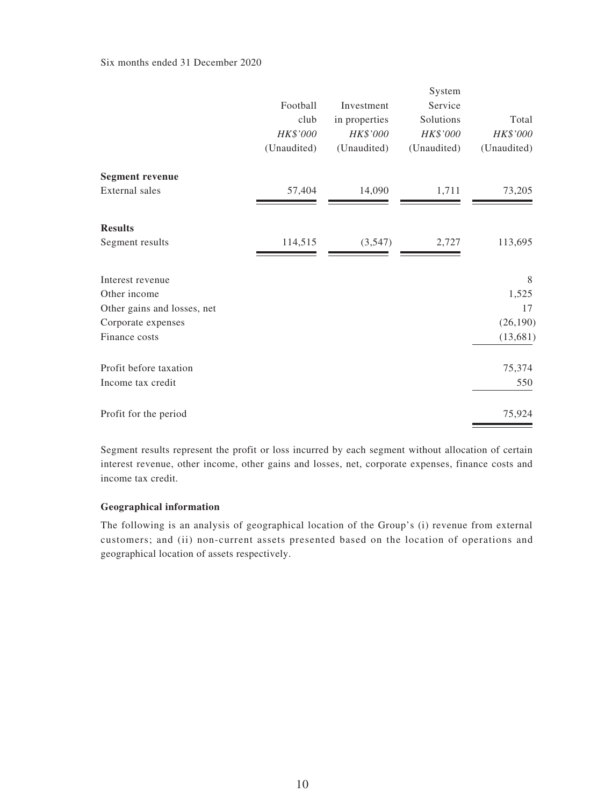### Six months ended 31 December 2020

|                             | Football<br>club<br>HK\$'000<br>(Unaudited) | Investment<br>in properties<br>HK\$'000<br>(Unaudited) | System<br>Service<br>Solutions<br>HK\$'000<br>(Unaudited) | Total<br>HK\$'000<br>(Unaudited) |
|-----------------------------|---------------------------------------------|--------------------------------------------------------|-----------------------------------------------------------|----------------------------------|
| <b>Segment revenue</b>      |                                             |                                                        |                                                           |                                  |
| <b>External</b> sales       | 57,404                                      | 14,090                                                 | 1,711                                                     | 73,205                           |
| <b>Results</b>              |                                             |                                                        |                                                           |                                  |
| Segment results             | 114,515                                     | (3,547)                                                | 2,727                                                     | 113,695                          |
| Interest revenue            |                                             |                                                        |                                                           | 8                                |
| Other income                |                                             |                                                        |                                                           | 1,525                            |
| Other gains and losses, net |                                             |                                                        |                                                           | 17                               |
| Corporate expenses          |                                             |                                                        |                                                           | (26, 190)                        |
| Finance costs               |                                             |                                                        |                                                           | (13, 681)                        |
| Profit before taxation      |                                             |                                                        |                                                           | 75,374                           |
| Income tax credit           |                                             |                                                        |                                                           | 550                              |
| Profit for the period       |                                             |                                                        |                                                           | 75,924                           |

Segment results represent the profit or loss incurred by each segment without allocation of certain interest revenue, other income, other gains and losses, net, corporate expenses, finance costs and income tax credit.

### **Geographical information**

The following is an analysis of geographical location of the Group's (i) revenue from external customers; and (ii) non-current assets presented based on the location of operations and geographical location of assets respectively.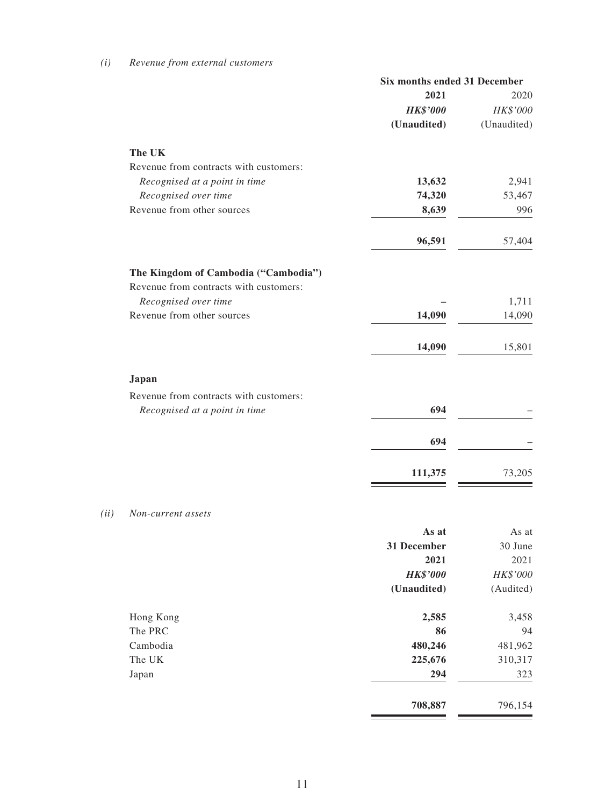|                                                                                | Six months ended 31 December |             |  |
|--------------------------------------------------------------------------------|------------------------------|-------------|--|
|                                                                                | 2021                         | 2020        |  |
|                                                                                | <b>HK\$'000</b>              | HK\$'000    |  |
|                                                                                | (Unaudited)                  | (Unaudited) |  |
| The UK                                                                         |                              |             |  |
| Revenue from contracts with customers:                                         |                              |             |  |
| Recognised at a point in time                                                  | 13,632                       | 2,941       |  |
| Recognised over time                                                           | 74,320                       | 53,467      |  |
| Revenue from other sources                                                     | 8,639                        | 996         |  |
|                                                                                | 96,591                       | 57,404      |  |
| The Kingdom of Cambodia ("Cambodia")<br>Revenue from contracts with customers: |                              |             |  |
| Recognised over time                                                           |                              | 1,711       |  |
| Revenue from other sources                                                     | 14,090                       | 14,090      |  |
|                                                                                | 14,090                       | 15,801      |  |
| Japan                                                                          |                              |             |  |
| Revenue from contracts with customers:                                         |                              |             |  |
| Recognised at a point in time                                                  | 694                          |             |  |
|                                                                                | 694                          |             |  |
|                                                                                |                              |             |  |
|                                                                                | 111,375                      | 73,205      |  |

#### *(ii) Non-current assets*

|           | As at           | As at     |
|-----------|-----------------|-----------|
|           | 31 December     | 30 June   |
|           | 2021            | 2021      |
|           | <b>HK\$'000</b> | HK\$'000  |
|           | (Unaudited)     | (Audited) |
| Hong Kong | 2,585           | 3,458     |
| The PRC   | 86              | 94        |
| Cambodia  | 480,246         | 481,962   |
| The UK    | 225,676         | 310,317   |
| Japan     | 294             | 323       |
|           | 708,887         | 796,154   |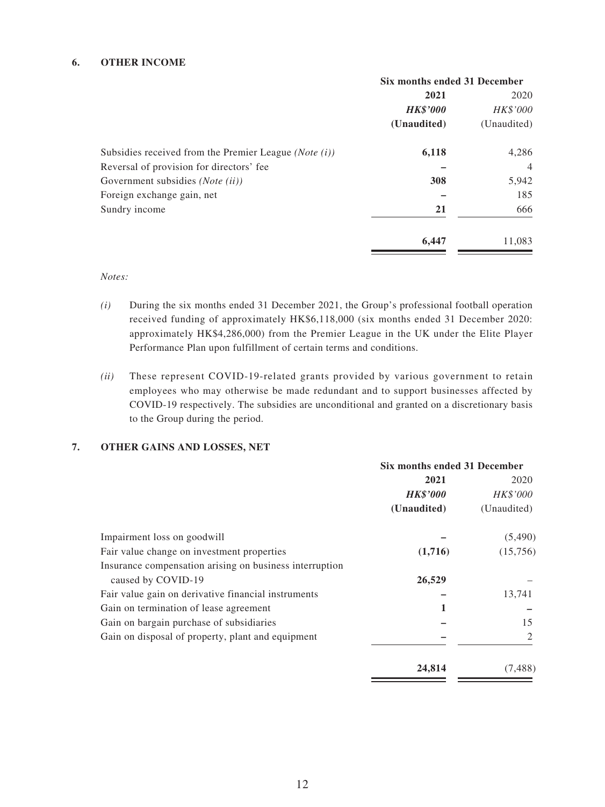### **6. OTHER INCOME**

|                                                                  | Six months ended 31 December |                |  |
|------------------------------------------------------------------|------------------------------|----------------|--|
|                                                                  | 2021                         | 2020           |  |
|                                                                  | <b>HK\$'000</b>              | HK\$'000       |  |
|                                                                  | (Unaudited)                  | (Unaudited)    |  |
| Subsidies received from the Premier League ( <i>Note</i> $(i)$ ) | 6,118                        | 4,286          |  |
| Reversal of provision for directors' fee                         |                              | $\overline{4}$ |  |
| Government subsidies (Note (ii))                                 | 308                          | 5,942          |  |
| Foreign exchange gain, net                                       |                              | 185            |  |
| Sundry income                                                    | 21                           | 666            |  |
|                                                                  | 6,447                        | 11,083         |  |

*Notes:*

- *(i)* During the six months ended 31 December 2021, the Group's professional football operation received funding of approximately HK\$6,118,000 (six months ended 31 December 2020: approximately HK\$4,286,000) from the Premier League in the UK under the Elite Player Performance Plan upon fulfillment of certain terms and conditions.
- *(ii)* These represent COVID-19-related grants provided by various government to retain employees who may otherwise be made redundant and to support businesses affected by COVID-19 respectively. The subsidies are unconditional and granted on a discretionary basis to the Group during the period.

### **7. OTHER GAINS AND LOSSES, NET**

|                                                         | Six months ended 31 December |             |  |
|---------------------------------------------------------|------------------------------|-------------|--|
|                                                         | 2021                         | 2020        |  |
|                                                         | <b>HK\$'000</b>              | HK\$'000    |  |
|                                                         | (Unaudited)                  | (Unaudited) |  |
| Impairment loss on goodwill                             |                              | (5,490)     |  |
| Fair value change on investment properties              | (1,716)                      | (15,756)    |  |
| Insurance compensation arising on business interruption |                              |             |  |
| caused by COVID-19                                      | 26,529                       |             |  |
| Fair value gain on derivative financial instruments     |                              | 13,741      |  |
| Gain on termination of lease agreement                  |                              |             |  |
| Gain on bargain purchase of subsidiaries                |                              | 15          |  |
| Gain on disposal of property, plant and equipment       |                              | 2           |  |
|                                                         | 24,814                       | (7, 488)    |  |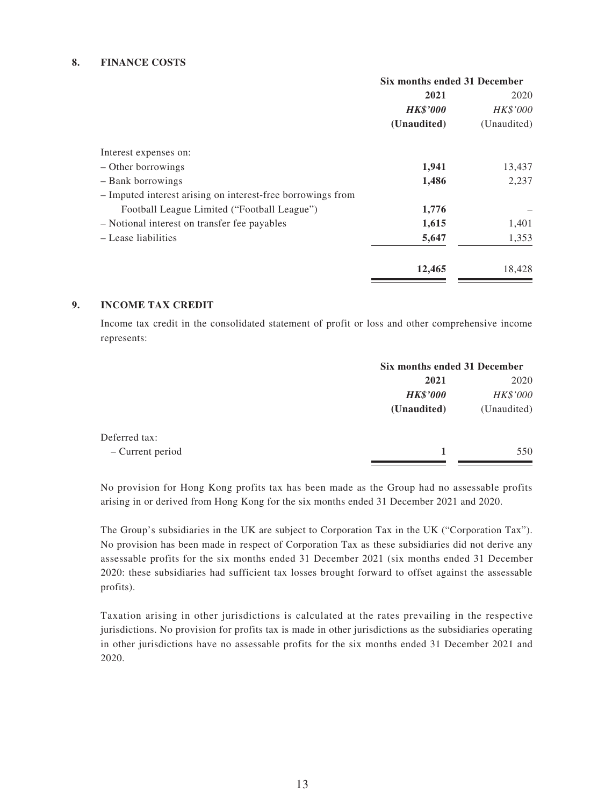#### **8. FINANCE COSTS**

|                                                             | Six months ended 31 December |             |
|-------------------------------------------------------------|------------------------------|-------------|
|                                                             | 2021                         | 2020        |
|                                                             | <b>HK\$'000</b>              | HK\$'000    |
|                                                             | (Unaudited)                  | (Unaudited) |
| Interest expenses on:                                       |                              |             |
| – Other borrowings                                          | 1,941                        | 13,437      |
| - Bank borrowings                                           | 1,486                        | 2,237       |
| - Imputed interest arising on interest-free borrowings from |                              |             |
| Football League Limited ("Football League")                 | 1,776                        |             |
| - Notional interest on transfer fee payables                | 1,615                        | 1,401       |
| - Lease liabilities                                         | 5,647                        | 1,353       |
|                                                             | 12,465                       | 18,428      |

### **9. INCOME TAX CREDIT**

Income tax credit in the consolidated statement of profit or loss and other comprehensive income represents:

|                  |                 | Six months ended 31 December |  |
|------------------|-----------------|------------------------------|--|
|                  | 2021            | 2020                         |  |
|                  | <b>HK\$'000</b> | HK\$'000                     |  |
|                  | (Unaudited)     | (Unaudited)                  |  |
| Deferred tax:    |                 |                              |  |
| - Current period | 1               | 550                          |  |
|                  |                 |                              |  |

No provision for Hong Kong profits tax has been made as the Group had no assessable profits arising in or derived from Hong Kong for the six months ended 31 December 2021 and 2020.

The Group's subsidiaries in the UK are subject to Corporation Tax in the UK ("Corporation Tax"). No provision has been made in respect of Corporation Tax as these subsidiaries did not derive any assessable profits for the six months ended 31 December 2021 (six months ended 31 December 2020: these subsidiaries had sufficient tax losses brought forward to offset against the assessable profits).

Taxation arising in other jurisdictions is calculated at the rates prevailing in the respective jurisdictions. No provision for profits tax is made in other jurisdictions as the subsidiaries operating in other jurisdictions have no assessable profits for the six months ended 31 December 2021 and 2020.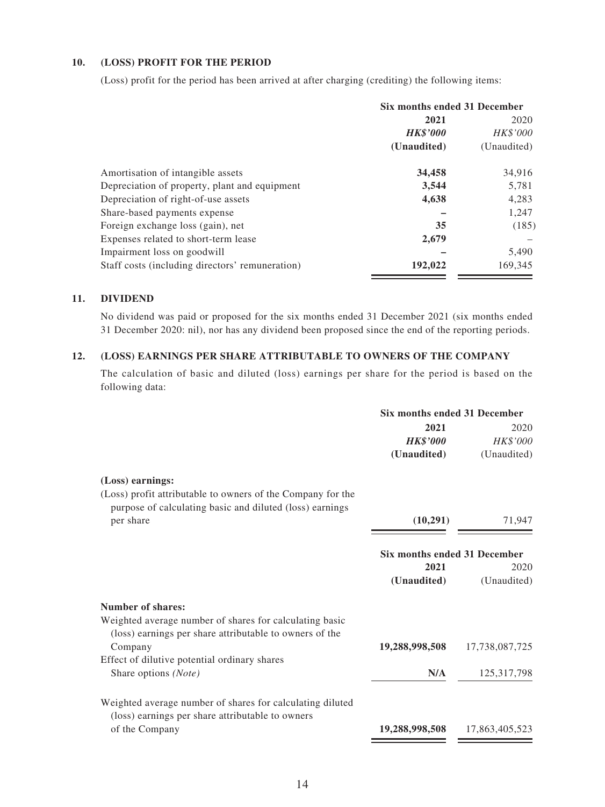### **10. (LOSS) PROFIT FOR THE PERIOD**

(Loss) profit for the period has been arrived at after charging (crediting) the following items:

|                                                 | Six months ended 31 December |                 |
|-------------------------------------------------|------------------------------|-----------------|
|                                                 | 2021                         |                 |
|                                                 | <b>HK\$'000</b>              | <i>HK\$'000</i> |
|                                                 | (Unaudited)                  | (Unaudited)     |
| Amortisation of intangible assets               | 34,458                       | 34,916          |
| Depreciation of property, plant and equipment   | 3,544                        | 5,781           |
| Depreciation of right-of-use assets             | 4,638                        | 4,283           |
| Share-based payments expense                    |                              | 1,247           |
| Foreign exchange loss (gain), net               | 35                           | (185)           |
| Expenses related to short-term lease            | 2,679                        |                 |
| Impairment loss on goodwill                     |                              | 5,490           |
| Staff costs (including directors' remuneration) | 192,022                      | 169,345         |

### **11. DIVIDEND**

No dividend was paid or proposed for the six months ended 31 December 2021 (six months ended 31 December 2020: nil), nor has any dividend been proposed since the end of the reporting periods.

### **12. (LOSS) EARNINGS PER SHARE ATTRIBUTABLE TO OWNERS OF THE COMPANY**

The calculation of basic and diluted (loss) earnings per share for the period is based on the following data:

|                                                                                                                         | <b>Six months ended 31 December</b> |                |
|-------------------------------------------------------------------------------------------------------------------------|-------------------------------------|----------------|
|                                                                                                                         | 2021                                | 2020           |
|                                                                                                                         | <b>HK\$'000</b>                     | HK\$'000       |
|                                                                                                                         | (Unaudited)                         | (Unaudited)    |
| (Loss) earnings:                                                                                                        |                                     |                |
| (Loss) profit attributable to owners of the Company for the<br>purpose of calculating basic and diluted (loss) earnings |                                     |                |
| per share                                                                                                               | (10,291)                            | 71,947         |
|                                                                                                                         | Six months ended 31 December        |                |
|                                                                                                                         | 2021                                | 2020           |
|                                                                                                                         | (Unaudited)                         | (Unaudited)    |
| <b>Number of shares:</b>                                                                                                |                                     |                |
| Weighted average number of shares for calculating basic                                                                 |                                     |                |
| (loss) earnings per share attributable to owners of the                                                                 |                                     |                |
| Company                                                                                                                 | 19,288,998,508                      | 17,738,087,725 |
| Effect of dilutive potential ordinary shares                                                                            |                                     |                |
| Share options (Note)                                                                                                    | N/A                                 | 125,317,798    |
| Weighted average number of shares for calculating diluted                                                               |                                     |                |
| (loss) earnings per share attributable to owners                                                                        |                                     |                |
| of the Company                                                                                                          | 19,288,998,508                      | 17,863,405,523 |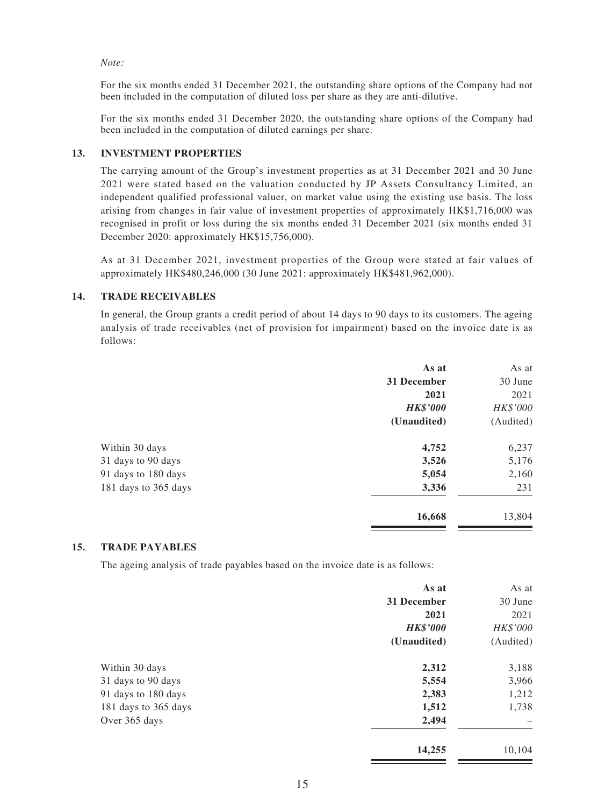#### *Note:*

For the six months ended 31 December 2021, the outstanding share options of the Company had not been included in the computation of diluted loss per share as they are anti-dilutive.

For the six months ended 31 December 2020, the outstanding share options of the Company had been included in the computation of diluted earnings per share.

### **13. INVESTMENT PROPERTIES**

The carrying amount of the Group's investment properties as at 31 December 2021 and 30 June 2021 were stated based on the valuation conducted by JP Assets Consultancy Limited, an independent qualified professional valuer, on market value using the existing use basis. The loss arising from changes in fair value of investment properties of approximately HK\$1,716,000 was recognised in profit or loss during the six months ended 31 December 2021 (six months ended 31 December 2020: approximately HK\$15,756,000).

As at 31 December 2021, investment properties of the Group were stated at fair values of approximately HK\$480,246,000 (30 June 2021: approximately HK\$481,962,000).

#### **14. TRADE RECEIVABLES**

In general, the Group grants a credit period of about 14 days to 90 days to its customers. The ageing analysis of trade receivables (net of provision for impairment) based on the invoice date is as follows:

|                      | As at           | As at     |
|----------------------|-----------------|-----------|
|                      | 31 December     | 30 June   |
|                      | 2021            | 2021      |
|                      | <b>HK\$'000</b> | HK\$'000  |
|                      | (Unaudited)     | (Audited) |
| Within 30 days       | 4,752           | 6,237     |
| 31 days to 90 days   | 3,526           | 5,176     |
| 91 days to 180 days  | 5,054           | 2,160     |
| 181 days to 365 days | 3,336           | 231       |
|                      | 16,668          | 13,804    |

### **15. TRADE PAYABLES**

The ageing analysis of trade payables based on the invoice date is as follows:

| As at           | As at     |
|-----------------|-----------|
| 31 December     | 30 June   |
| 2021            | 2021      |
| <b>HK\$'000</b> | HK\$'000  |
| (Unaudited)     | (Audited) |
| 2,312           | 3,188     |
| 5,554           | 3,966     |
| 2,383           | 1,212     |
| 1,512           | 1,738     |
| 2,494           |           |
| 14,255          | 10,104    |
|                 |           |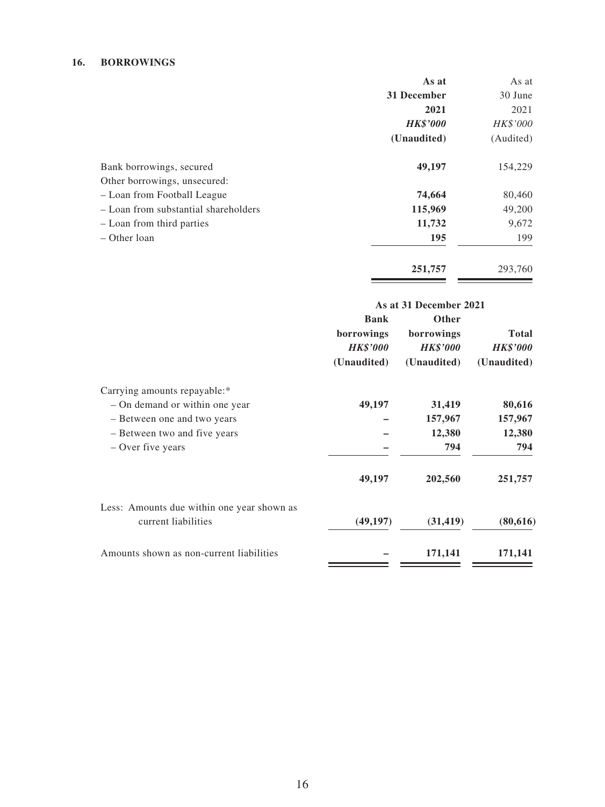### **16. BORROWINGS**

|                                      | As at           | As at           |
|--------------------------------------|-----------------|-----------------|
|                                      | 31 December     | 30 June         |
|                                      | 2021            | 2021            |
|                                      | <b>HK\$'000</b> | <i>HK\$'000</i> |
|                                      | (Unaudited)     | (Audited)       |
| Bank borrowings, secured             | 49,197          | 154,229         |
| Other borrowings, unsecured:         |                 |                 |
| - Loan from Football League          | 74,664          | 80,460          |
| - Loan from substantial shareholders | 115,969         | 49,200          |
| - Loan from third parties            | 11,732          | 9,672           |
| – Other loan                         | 195             | 199             |
|                                      |                 |                 |

**251,757** 293,760

|                                                                   |                                                             | As at 31 December 2021                                       |                                                |
|-------------------------------------------------------------------|-------------------------------------------------------------|--------------------------------------------------------------|------------------------------------------------|
|                                                                   | <b>Bank</b><br>borrowings<br><b>HK\$'000</b><br>(Unaudited) | <b>Other</b><br>borrowings<br><b>HK\$'000</b><br>(Unaudited) | <b>Total</b><br><b>HK\$'000</b><br>(Unaudited) |
| Carrying amounts repayable:*                                      |                                                             |                                                              |                                                |
| - On demand or within one year                                    | 49,197                                                      | 31,419                                                       | 80,616                                         |
| - Between one and two years                                       |                                                             | 157,967                                                      | 157,967                                        |
| - Between two and five years                                      |                                                             | 12,380                                                       | 12,380                                         |
| - Over five years                                                 |                                                             | 794                                                          | 794                                            |
|                                                                   | 49,197                                                      | 202,560                                                      | 251,757                                        |
| Less: Amounts due within one year shown as<br>current liabilities | (49, 197)                                                   | (31, 419)                                                    | (80,616)                                       |
| Amounts shown as non-current liabilities                          |                                                             | 171,141                                                      | 171,141                                        |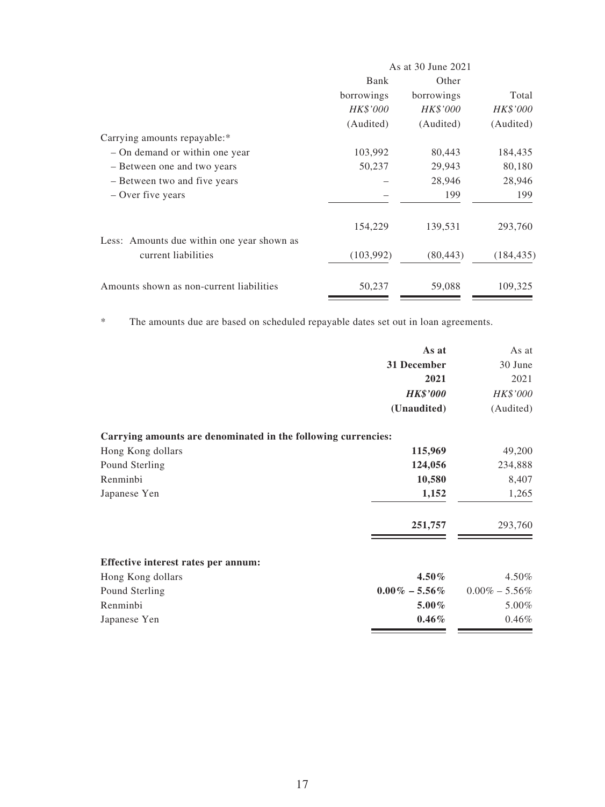|                                                                   | As at 30 June 2021 |            |            |
|-------------------------------------------------------------------|--------------------|------------|------------|
|                                                                   | Bank               | Other      |            |
|                                                                   | borrowings         | borrowings | Total      |
|                                                                   | HK\$'000           | HK\$'000   | HK\$'000   |
|                                                                   | (Audited)          | (Audited)  | (Audited)  |
| Carrying amounts repayable:*                                      |                    |            |            |
| - On demand or within one year                                    | 103,992            | 80,443     | 184,435    |
| - Between one and two years                                       | 50,237             | 29,943     | 80,180     |
| – Between two and five years                                      |                    | 28,946     | 28,946     |
| – Over five years                                                 |                    | 199        | 199        |
|                                                                   | 154,229            | 139,531    | 293,760    |
| Less: Amounts due within one year shown as<br>current liabilities | (103,992)          | (80, 443)  | (184, 435) |
| Amounts shown as non-current liabilities                          | 50,237             | 59,088     | 109,325    |

\* The amounts due are based on scheduled repayable dates set out in loan agreements.

|                                                               | As at             | As at             |
|---------------------------------------------------------------|-------------------|-------------------|
|                                                               | 31 December       | 30 June           |
|                                                               | 2021              | 2021              |
|                                                               | <b>HK\$'000</b>   | HK\$'000          |
|                                                               | (Unaudited)       | (Audited)         |
| Carrying amounts are denominated in the following currencies: |                   |                   |
| Hong Kong dollars                                             | 115,969           | 49,200            |
| Pound Sterling                                                | 124,056           | 234,888           |
| Renminbi                                                      | 10,580            | 8,407             |
| Japanese Yen                                                  | 1,152             | 1,265             |
|                                                               | 251,757           | 293,760           |
| Effective interest rates per annum:                           |                   |                   |
| Hong Kong dollars                                             | $4.50\%$          | 4.50%             |
| Pound Sterling                                                | $0.00\% - 5.56\%$ | $0.00\% - 5.56\%$ |
| Renminbi                                                      | $5.00\%$          | 5.00%             |
| Japanese Yen                                                  | $0.46\%$          | $0.46\%$          |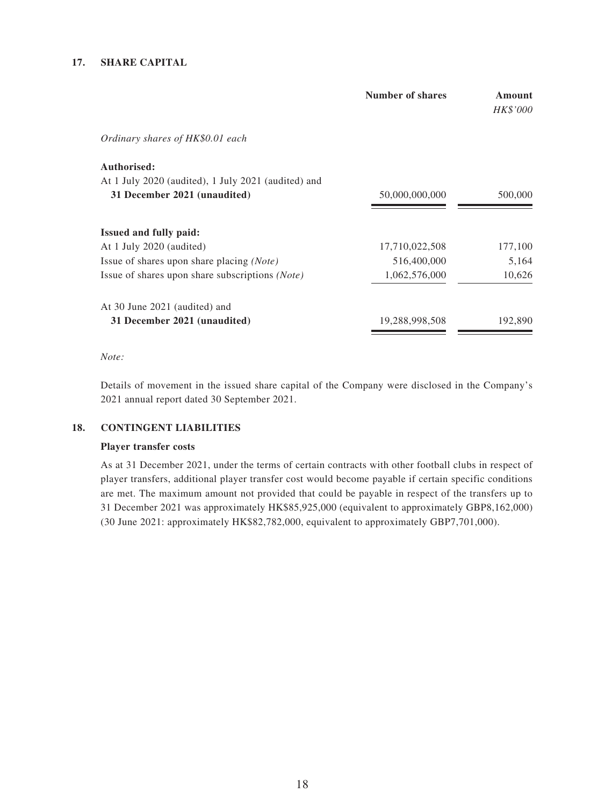### **17. SHARE CAPITAL**

|                                                     | <b>Number of shares</b> | Amount<br>HK\$'000 |
|-----------------------------------------------------|-------------------------|--------------------|
| Ordinary shares of HK\$0.01 each                    |                         |                    |
| Authorised:                                         |                         |                    |
| At 1 July 2020 (audited), 1 July 2021 (audited) and |                         |                    |
| 31 December 2021 (unaudited)                        | 50,000,000,000          | 500,000            |
| <b>Issued and fully paid:</b>                       |                         |                    |
| At 1 July 2020 (audited)                            | 17,710,022,508          | 177,100            |
| Issue of shares upon share placing (Note)           | 516,400,000             | 5,164              |
| Issue of shares upon share subscriptions (Note)     | 1,062,576,000           | 10,626             |
| At 30 June 2021 (audited) and                       |                         |                    |
| 31 December 2021 (unaudited)                        | 19,288,998,508          | 192,890            |
|                                                     |                         |                    |

### *Note:*

Details of movement in the issued share capital of the Company were disclosed in the Company's 2021 annual report dated 30 September 2021.

### **18. CONTINGENT LIABILITIES**

### **Player transfer costs**

As at 31 December 2021, under the terms of certain contracts with other football clubs in respect of player transfers, additional player transfer cost would become payable if certain specific conditions are met. The maximum amount not provided that could be payable in respect of the transfers up to 31 December 2021 was approximately HK\$85,925,000 (equivalent to approximately GBP8,162,000) (30 June 2021: approximately HK\$82,782,000, equivalent to approximately GBP7,701,000).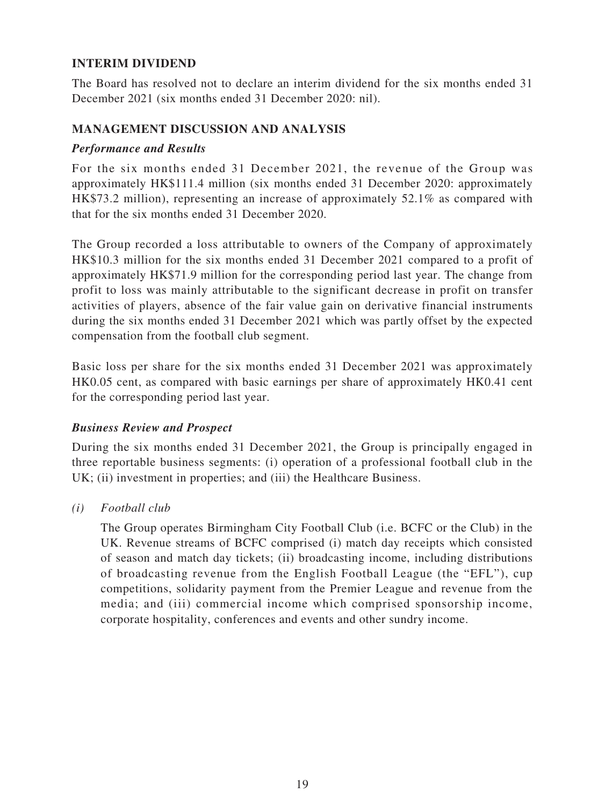## **INTERIM DIVIDEND**

The Board has resolved not to declare an interim dividend for the six months ended 31 December 2021 (six months ended 31 December 2020: nil).

### **MANAGEMENT DISCUSSION AND ANALYSIS**

### *Performance and Results*

For the six months ended 31 December 2021, the revenue of the Group was approximately HK\$111.4 million (six months ended 31 December 2020: approximately HK\$73.2 million), representing an increase of approximately 52.1% as compared with that for the six months ended 31 December 2020.

The Group recorded a loss attributable to owners of the Company of approximately HK\$10.3 million for the six months ended 31 December 2021 compared to a profit of approximately HK\$71.9 million for the corresponding period last year. The change from profit to loss was mainly attributable to the significant decrease in profit on transfer activities of players, absence of the fair value gain on derivative financial instruments during the six months ended 31 December 2021 which was partly offset by the expected compensation from the football club segment.

Basic loss per share for the six months ended 31 December 2021 was approximately HK0.05 cent, as compared with basic earnings per share of approximately HK0.41 cent for the corresponding period last year.

### *Business Review and Prospect*

During the six months ended 31 December 2021, the Group is principally engaged in three reportable business segments: (i) operation of a professional football club in the UK; (ii) investment in properties; and (iii) the Healthcare Business.

*(i) Football club*

The Group operates Birmingham City Football Club (i.e. BCFC or the Club) in the UK. Revenue streams of BCFC comprised (i) match day receipts which consisted of season and match day tickets; (ii) broadcasting income, including distributions of broadcasting revenue from the English Football League (the "EFL"), cup competitions, solidarity payment from the Premier League and revenue from the media; and (iii) commercial income which comprised sponsorship income, corporate hospitality, conferences and events and other sundry income.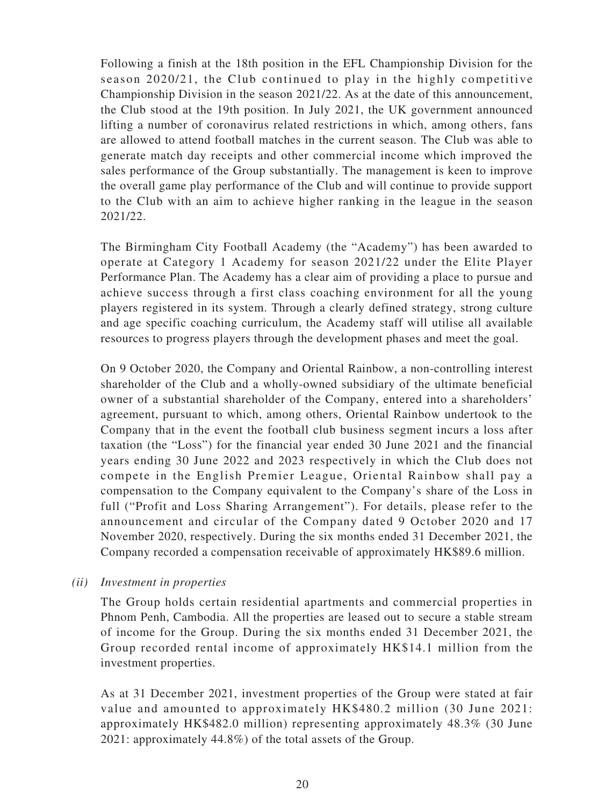Following a finish at the 18th position in the EFL Championship Division for the season 2020/21, the Club continued to play in the highly competitive Championship Division in the season 2021/22. As at the date of this announcement, the Club stood at the 19th position. In July 2021, the UK government announced lifting a number of coronavirus related restrictions in which, among others, fans are allowed to attend football matches in the current season. The Club was able to generate match day receipts and other commercial income which improved the sales performance of the Group substantially. The management is keen to improve the overall game play performance of the Club and will continue to provide support to the Club with an aim to achieve higher ranking in the league in the season 2021/22.

The Birmingham City Football Academy (the "Academy") has been awarded to operate at Category 1 Academy for season 2021/22 under the Elite Player Performance Plan. The Academy has a clear aim of providing a place to pursue and achieve success through a first class coaching environment for all the young players registered in its system. Through a clearly defined strategy, strong culture and age specific coaching curriculum, the Academy staff will utilise all available resources to progress players through the development phases and meet the goal.

On 9 October 2020, the Company and Oriental Rainbow, a non-controlling interest shareholder of the Club and a wholly-owned subsidiary of the ultimate beneficial owner of a substantial shareholder of the Company, entered into a shareholders' agreement, pursuant to which, among others, Oriental Rainbow undertook to the Company that in the event the football club business segment incurs a loss after taxation (the "Loss") for the financial year ended 30 June 2021 and the financial years ending 30 June 2022 and 2023 respectively in which the Club does not compete in the English Premier League, Oriental Rainbow shall pay a compensation to the Company equivalent to the Company's share of the Loss in full ("Profit and Loss Sharing Arrangement"). For details, please refer to the announcement and circular of the Company dated 9 October 2020 and 17 November 2020, respectively. During the six months ended 31 December 2021, the Company recorded a compensation receivable of approximately HK\$89.6 million.

## *(ii) Investment in properties*

The Group holds certain residential apartments and commercial properties in Phnom Penh, Cambodia. All the properties are leased out to secure a stable stream of income for the Group. During the six months ended 31 December 2021, the Group recorded rental income of approximately HK\$14.1 million from the investment properties.

As at 31 December 2021, investment properties of the Group were stated at fair value and amounted to approximately HK\$480.2 million (30 June 2021: approximately HK\$482.0 million) representing approximately 48.3% (30 June 2021: approximately 44.8%) of the total assets of the Group.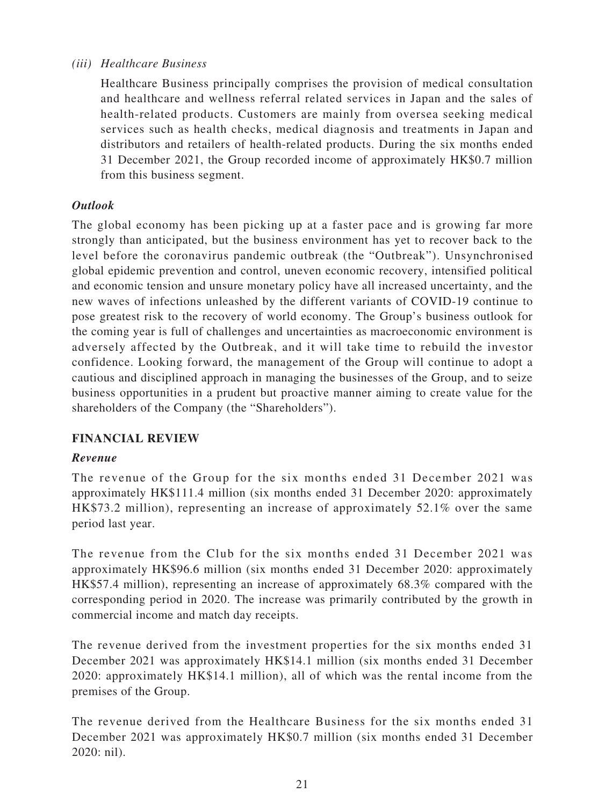## *(iii) Healthcare Business*

Healthcare Business principally comprises the provision of medical consultation and healthcare and wellness referral related services in Japan and the sales of health-related products. Customers are mainly from oversea seeking medical services such as health checks, medical diagnosis and treatments in Japan and distributors and retailers of health-related products. During the six months ended 31 December 2021, the Group recorded income of approximately HK\$0.7 million from this business segment.

## *Outlook*

The global economy has been picking up at a faster pace and is growing far more strongly than anticipated, but the business environment has yet to recover back to the level before the coronavirus pandemic outbreak (the "Outbreak"). Unsynchronised global epidemic prevention and control, uneven economic recovery, intensified political and economic tension and unsure monetary policy have all increased uncertainty, and the new waves of infections unleashed by the different variants of COVID-19 continue to pose greatest risk to the recovery of world economy. The Group's business outlook for the coming year is full of challenges and uncertainties as macroeconomic environment is adversely affected by the Outbreak, and it will take time to rebuild the investor confidence. Looking forward, the management of the Group will continue to adopt a cautious and disciplined approach in managing the businesses of the Group, and to seize business opportunities in a prudent but proactive manner aiming to create value for the shareholders of the Company (the "Shareholders").

## **FINANCIAL REVIEW**

## *Revenue*

The revenue of the Group for the six months ended 31 December 2021 was approximately HK\$111.4 million (six months ended 31 December 2020: approximately HK\$73.2 million), representing an increase of approximately 52.1% over the same period last year.

The revenue from the Club for the six months ended 31 December 2021 was approximately HK\$96.6 million (six months ended 31 December 2020: approximately HK\$57.4 million), representing an increase of approximately 68.3% compared with the corresponding period in 2020. The increase was primarily contributed by the growth in commercial income and match day receipts.

The revenue derived from the investment properties for the six months ended 31 December 2021 was approximately HK\$14.1 million (six months ended 31 December 2020: approximately HK\$14.1 million), all of which was the rental income from the premises of the Group.

The revenue derived from the Healthcare Business for the six months ended 31 December 2021 was approximately HK\$0.7 million (six months ended 31 December 2020: nil).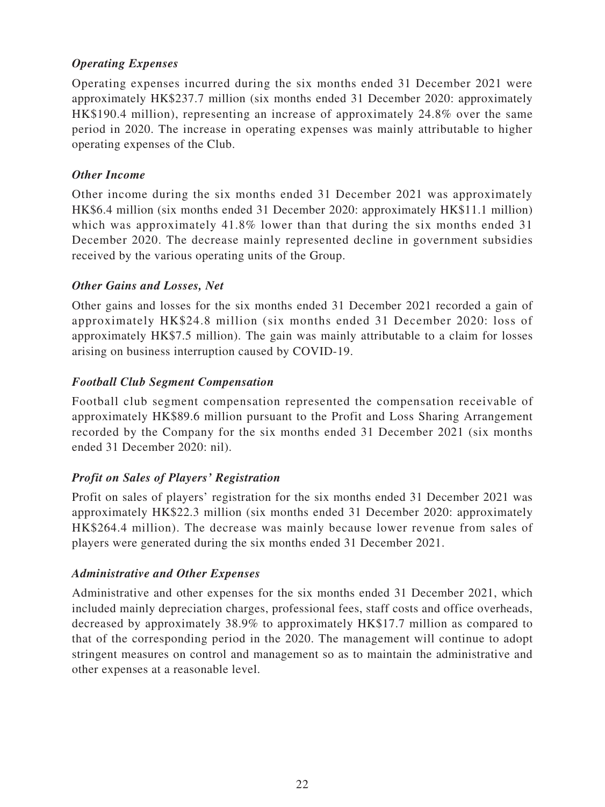## *Operating Expenses*

Operating expenses incurred during the six months ended 31 December 2021 were approximately HK\$237.7 million (six months ended 31 December 2020: approximately HK\$190.4 million), representing an increase of approximately 24.8% over the same period in 2020. The increase in operating expenses was mainly attributable to higher operating expenses of the Club.

## *Other Income*

Other income during the six months ended 31 December 2021 was approximately HK\$6.4 million (six months ended 31 December 2020: approximately HK\$11.1 million) which was approximately 41.8% lower than that during the six months ended 31 December 2020. The decrease mainly represented decline in government subsidies received by the various operating units of the Group.

## *Other Gains and Losses, Net*

Other gains and losses for the six months ended 31 December 2021 recorded a gain of approximately HK\$24.8 million (six months ended 31 December 2020: loss of approximately HK\$7.5 million). The gain was mainly attributable to a claim for losses arising on business interruption caused by COVID-19.

## *Football Club Segment Compensation*

Football club segment compensation represented the compensation receivable of approximately HK\$89.6 million pursuant to the Profit and Loss Sharing Arrangement recorded by the Company for the six months ended 31 December 2021 (six months ended 31 December 2020: nil).

## *Profit on Sales of Players' Registration*

Profit on sales of players' registration for the six months ended 31 December 2021 was approximately HK\$22.3 million (six months ended 31 December 2020: approximately HK\$264.4 million). The decrease was mainly because lower revenue from sales of players were generated during the six months ended 31 December 2021.

## *Administrative and Other Expenses*

Administrative and other expenses for the six months ended 31 December 2021, which included mainly depreciation charges, professional fees, staff costs and office overheads, decreased by approximately 38.9% to approximately HK\$17.7 million as compared to that of the corresponding period in the 2020. The management will continue to adopt stringent measures on control and management so as to maintain the administrative and other expenses at a reasonable level.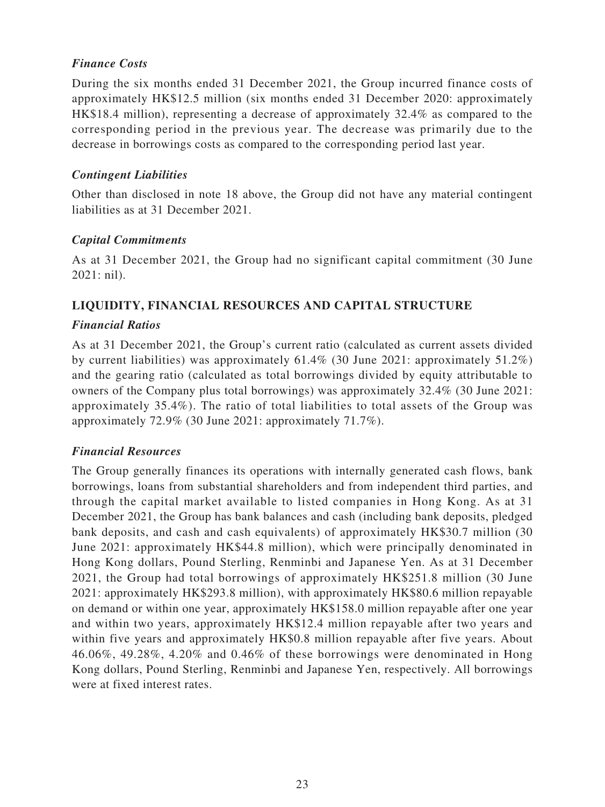## *Finance Costs*

During the six months ended 31 December 2021, the Group incurred finance costs of approximately HK\$12.5 million (six months ended 31 December 2020: approximately HK\$18.4 million), representing a decrease of approximately 32.4% as compared to the corresponding period in the previous year. The decrease was primarily due to the decrease in borrowings costs as compared to the corresponding period last year.

## *Contingent Liabilities*

Other than disclosed in note 18 above, the Group did not have any material contingent liabilities as at 31 December 2021.

## *Capital Commitments*

As at 31 December 2021, the Group had no significant capital commitment (30 June 2021: nil).

## **LIQUIDITY, FINANCIAL RESOURCES AND CAPITAL STRUCTURE**

## *Financial Ratios*

As at 31 December 2021, the Group's current ratio (calculated as current assets divided by current liabilities) was approximately 61.4% (30 June 2021: approximately 51.2%) and the gearing ratio (calculated as total borrowings divided by equity attributable to owners of the Company plus total borrowings) was approximately 32.4% (30 June 2021: approximately 35.4%). The ratio of total liabilities to total assets of the Group was approximately 72.9% (30 June 2021: approximately 71.7%).

## *Financial Resources*

The Group generally finances its operations with internally generated cash flows, bank borrowings, loans from substantial shareholders and from independent third parties, and through the capital market available to listed companies in Hong Kong. As at 31 December 2021, the Group has bank balances and cash (including bank deposits, pledged bank deposits, and cash and cash equivalents) of approximately HK\$30.7 million (30 June 2021: approximately HK\$44.8 million), which were principally denominated in Hong Kong dollars, Pound Sterling, Renminbi and Japanese Yen. As at 31 December 2021, the Group had total borrowings of approximately HK\$251.8 million (30 June 2021: approximately HK\$293.8 million), with approximately HK\$80.6 million repayable on demand or within one year, approximately HK\$158.0 million repayable after one year and within two years, approximately HK\$12.4 million repayable after two years and within five years and approximately HK\$0.8 million repayable after five years. About 46.06%, 49.28%, 4.20% and 0.46% of these borrowings were denominated in Hong Kong dollars, Pound Sterling, Renminbi and Japanese Yen, respectively. All borrowings were at fixed interest rates.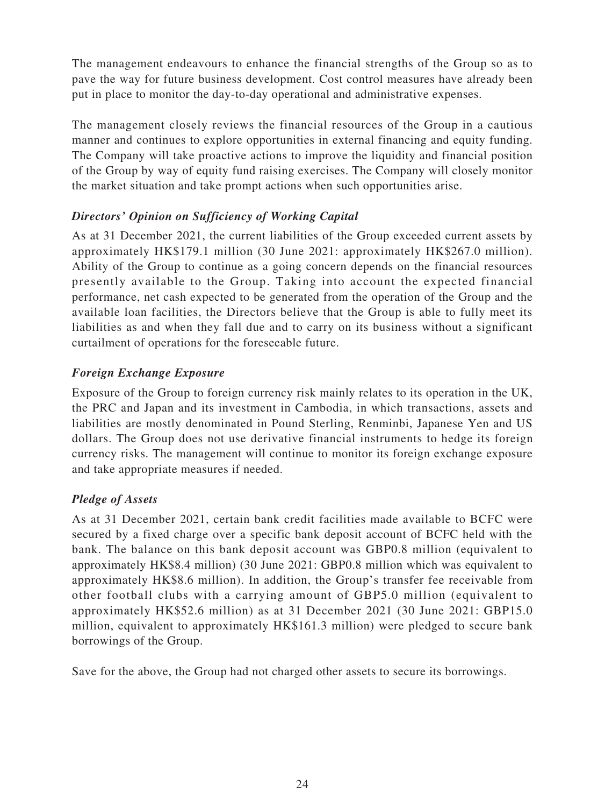The management endeavours to enhance the financial strengths of the Group so as to pave the way for future business development. Cost control measures have already been put in place to monitor the day-to-day operational and administrative expenses.

The management closely reviews the financial resources of the Group in a cautious manner and continues to explore opportunities in external financing and equity funding. The Company will take proactive actions to improve the liquidity and financial position of the Group by way of equity fund raising exercises. The Company will closely monitor the market situation and take prompt actions when such opportunities arise.

## *Directors' Opinion on Sufficiency of Working Capital*

As at 31 December 2021, the current liabilities of the Group exceeded current assets by approximately HK\$179.1 million (30 June 2021: approximately HK\$267.0 million). Ability of the Group to continue as a going concern depends on the financial resources presently available to the Group. Taking into account the expected financial performance, net cash expected to be generated from the operation of the Group and the available loan facilities, the Directors believe that the Group is able to fully meet its liabilities as and when they fall due and to carry on its business without a significant curtailment of operations for the foreseeable future.

## *Foreign Exchange Exposure*

Exposure of the Group to foreign currency risk mainly relates to its operation in the UK, the PRC and Japan and its investment in Cambodia, in which transactions, assets and liabilities are mostly denominated in Pound Sterling, Renminbi, Japanese Yen and US dollars. The Group does not use derivative financial instruments to hedge its foreign currency risks. The management will continue to monitor its foreign exchange exposure and take appropriate measures if needed.

## *Pledge of Assets*

As at 31 December 2021, certain bank credit facilities made available to BCFC were secured by a fixed charge over a specific bank deposit account of BCFC held with the bank. The balance on this bank deposit account was GBP0.8 million (equivalent to approximately HK\$8.4 million) (30 June 2021: GBP0.8 million which was equivalent to approximately HK\$8.6 million). In addition, the Group's transfer fee receivable from other football clubs with a carrying amount of GBP5.0 million (equivalent to approximately HK\$52.6 million) as at 31 December 2021 (30 June 2021: GBP15.0 million, equivalent to approximately HK\$161.3 million) were pledged to secure bank borrowings of the Group.

Save for the above, the Group had not charged other assets to secure its borrowings.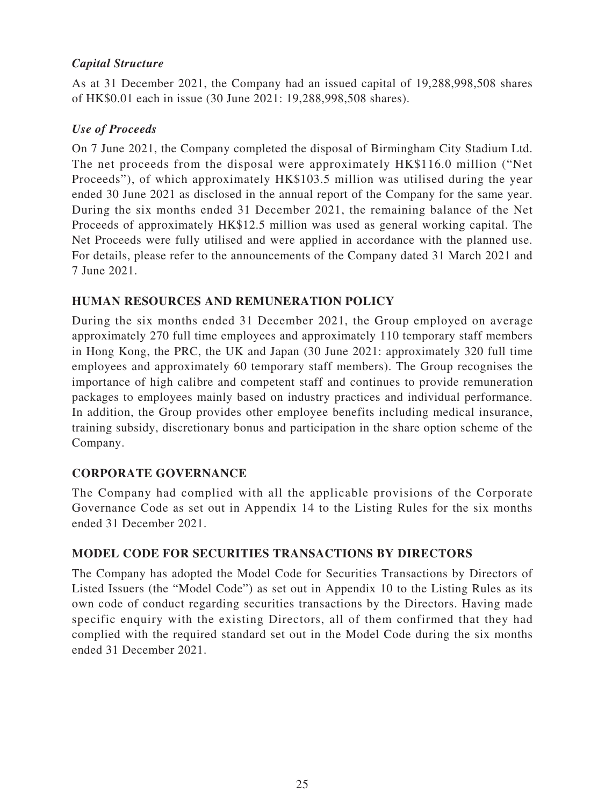## *Capital Structure*

As at 31 December 2021, the Company had an issued capital of 19,288,998,508 shares of HK\$0.01 each in issue (30 June 2021: 19,288,998,508 shares).

## *Use of Proceeds*

On 7 June 2021, the Company completed the disposal of Birmingham City Stadium Ltd. The net proceeds from the disposal were approximately HK\$116.0 million ("Net Proceeds"), of which approximately HK\$103.5 million was utilised during the year ended 30 June 2021 as disclosed in the annual report of the Company for the same year. During the six months ended 31 December 2021, the remaining balance of the Net Proceeds of approximately HK\$12.5 million was used as general working capital. The Net Proceeds were fully utilised and were applied in accordance with the planned use. For details, please refer to the announcements of the Company dated 31 March 2021 and 7 June 2021.

## **HUMAN RESOURCES AND REMUNERATION POLICY**

During the six months ended 31 December 2021, the Group employed on average approximately 270 full time employees and approximately 110 temporary staff members in Hong Kong, the PRC, the UK and Japan (30 June 2021: approximately 320 full time employees and approximately 60 temporary staff members). The Group recognises the importance of high calibre and competent staff and continues to provide remuneration packages to employees mainly based on industry practices and individual performance. In addition, the Group provides other employee benefits including medical insurance, training subsidy, discretionary bonus and participation in the share option scheme of the Company.

## **CORPORATE GOVERNANCE**

The Company had complied with all the applicable provisions of the Corporate Governance Code as set out in Appendix 14 to the Listing Rules for the six months ended 31 December 2021.

## **MODEL CODE FOR SECURITIES TRANSACTIONS BY DIRECTORS**

The Company has adopted the Model Code for Securities Transactions by Directors of Listed Issuers (the "Model Code") as set out in Appendix 10 to the Listing Rules as its own code of conduct regarding securities transactions by the Directors. Having made specific enquiry with the existing Directors, all of them confirmed that they had complied with the required standard set out in the Model Code during the six months ended 31 December 2021.